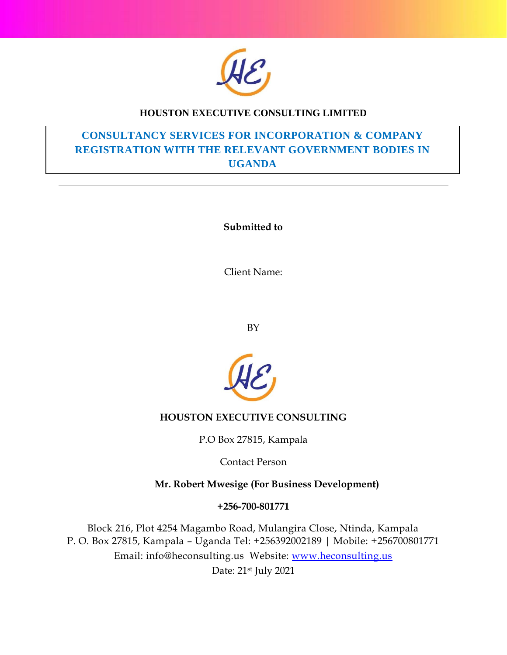

## **HOUSTON EXECUTIVE CONSULTING LIMITED**

## **CONSULTANCY SERVICES FOR INCORPORATION & COMPANY REGISTRATION WITH THE RELEVANT GOVERNMENT BODIES IN UGANDA**

**Submitted to**

Client Name:

BY



## **HOUSTON EXECUTIVE CONSULTING**

P.O Box 27815, Kampala

Contact Person

 **Mr. Robert Mwesige (For Business Development)**

**+256-700-801771** 

Block 216, Plot 4254 Magambo Road, Mulangira Close, Ntinda, Kampala P. O. Box 27815, Kampala – Uganda Tel: +256392002189 | Mobile: [+256700801771](tel:0700%20350154) Email: [info@heconsulting.us](mailto:info@heconsulting.us) Website: [www.heconsulting.us](http://www.heconsulting.us/) Date: 21st July 2021